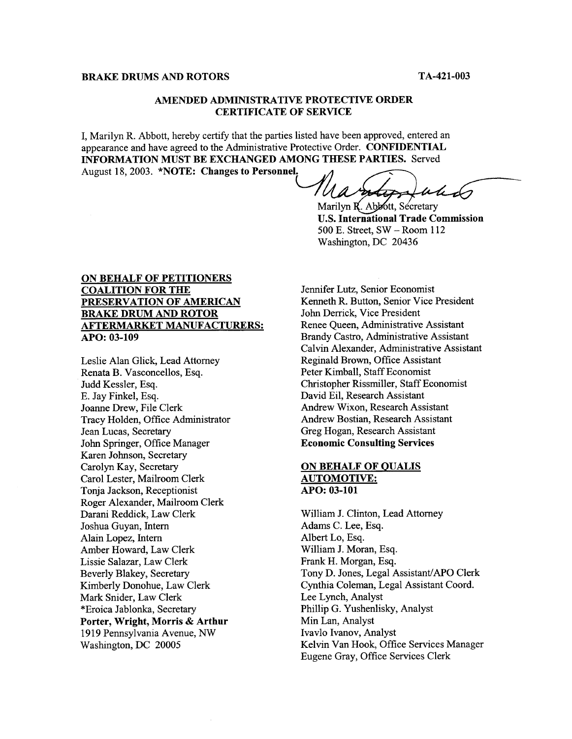## **BRAKE DRUMS AND ROTORS TA-421-003**

-

### **AMENDED ADMINISTRATIVE PROTECTIVE ORDER CERTIFICATE OF SERVICE**

I, Marilyn R. Abbott, hereby certify that the parties listed have been approved, entered an appearance and have agreed to the Administrative Protective Order. **CONFIDENTIAL INFORMATION MUST BE EXCHANGED AMONG THESE PARTIES.** Served August 18, 2003. **\*NOTE:** Changes to Personnel.

Ua  $ul_{\mathcal{U}}$ 

Marilyn R. Abbott, Secretary **U.S. International Trade Commission**  500 E. Street, SW - Room 112 Washington, DC 20436

# **ON BEHALF OF PETITIONERS COALITION FOR THE PRESERVATION OF AMERICAN BRAKE DRUM AND ROTOR AFTERMARKET MANUFACTURERS: APO: 03-109**

Leslie Alan Glick, Lead Attorney Renata B. Vasconcellos, Esq. Judd Kessler, Esq. E. Jay Finkel, Esq. Joanne Drew, File Clerk Tracy Holden, Office Administrator Jean Lucas, Secretary John Springer, Office Manager Karen Johnson, Secretary Carolyn Kay, Secretary Carol Lester, Mailroom Clerk Tonja Jackson, Receptionist Roger Alexander, Mailroom Clerk Darani Reddick, Law Clerk Joshua Guyan, Intern Alain Lopez, Intern Amber Howard, Law Clerk Lissie Salazar, Law Clerk Beverly Blakey, Secretary Kimberly Donohue, Law Clerk Mark Snider, Law Clerk \*Eroica Jablonka, Secretary **Porter, Wright, Morris** & **Arthur**  19 19 Pennsylvania Avenue, *NW*  Washington, DC 20005

Jennifer Lutz, Senior Economist Kenneth R. Button, Senior Vice President John Derrick, Vice President Renee Queen, Administrative Assistant Brandy Castro, Administrative Assistant Calvin Alexander, Administrative Assistant Reginald Brown, Office Assistant Peter Kimball, Staff Economist Christopher Rissmiller, Staff Economist David Eil, Research Assistant Andrew Wixon, Research Assistant Andrew Bostian, Research Assistant Greg Hogan, Research Assistant **Economic Consulting Services** 

# **ON BEHALF OF QUALIS AUTOMOTIVE: APO: 03-101**

William J. Clinton, Lead Attorney Adams C. Lee, Esq. Albert Lo, Esq. William J. Moran, Esq. Frank H. Morgan, Esq. Tony D. Jones, Legal Assistant/APO Clerk Cynthia Coleman, Legal Assistant Coord. Lee Lynch, Analyst Phillip G. Yushenlisky, Analyst Min Lan, Analyst Ivavlo Ivanov, Analyst Kelvin Van Hook, Office Services Manager Eugene Gray, Office Services Clerk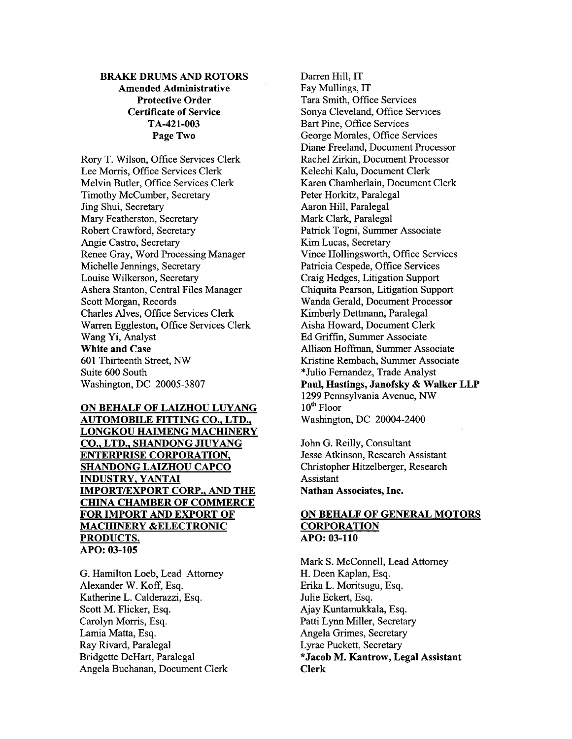# **BRAKE DRUMS** *AND* **ROTORS Amended Administrative Protective Order Certificate of Service Page Two TA-421-003**

Rory T. Wilson, Office Services Clerk Lee Morris, Office Services Clerk Melvin Butler, Office Services Clerk Timothy McCumber, Secretary Jing Shui, Secretary Mary Featherston, Secretary Robert Crawford, Secretary Angie Castro, Secretary Renee Gray, Word Processing Manager Michelle Jennings, Secretary Louise Wilkerson, Secretary Ashera Stanton, Central Files Manager Scott Morgan, Records Charles Alves, Office Services Clerk Warren Eggleston, Office Services Clerk Wang Yi, Analyst **White and Case 601** Thirteenth Street, *NW*  Suite 600 South Washington, DC 20005-3807

**ON BEHALF OF LAIZHOU LUYANG AUTOMOBILE FITTING CO., LTD., LONGKOU HAIMENG MACHINERY CO., LTD., SHANDONG JIUYANG ENTERPRISE CORPORATION, SHANDONG LAIZHOU CAPCO INDUSTRY, YANTAI IMPORTEXPORT CORP.,** *AND* **THE CHINA CHAMBER OF COMMERCE FOR IMPORT** *AND* **EXPORT OF MACHINERY &ELECTRONIC PRODUCTS. APO: 03-105** 

G. Hamilton Loeb, Lead Attorney Alexander W. Koff, Esq. Katherine L. Calderazzi, Esq. Scott M. Flicker, Esq. Carolyn Morris, Esq. Lamia Matta, Esq. Ray Rivard, Paralegal Bridgette DeHart, Paralegal Angela Buchanan, Document Clerk

Darren Hill, IT Fay Mullings, IT Tara Smith, Office Services Sonya Cleveland, Office Services Bart Pine, Office Services George Morales, Office Services Diane Freeland, Document Processor Rachel Zirkin, Document Processor Kelechi Kalu, Document Clerk Karen Chamberlain, Document Clerk Peter Horkitz, Paralegal Aaron Hill, Paralegal Mark Clark, Paralegal Patrick Togni, Summer Associate Kim Lucas, Secretary Vince Hollingsworth, Office Services Patricia Cespede, Office Services Craig Hedges, Litigation Support Chiquita Pearson, Litigation Support Wanda Gerald, Document Processor Kimberly Dettmann, Paralegal Aisha Howard, Document Clerk Ed Griffin, Summer Associate Allison Hoffman, Summer Associate Kristine Rembach, Summer Associate \*Julio Fernandez, Trade Analyst **Paul, Hastings, Janofsky** & **Walker LLP**  1299 Pennsylvania Avenue, *NW*  1 **Oth** Floor Washington, DC 20004-2400

John G. Reilly, Consultant Jesse Atkinson, Research Assistant Christopher Hitzelberger, Research Assistant **Nathan Associates, Inc.** 

# **ON BEHALF OF GENERAL MOTORS CORPORATION APO: 03-110**

Mark S. McConnell, Lead Attorney H. Deen Kaplan, Esq. Erika L. Moritsugu, Esq. Julie Eckert, Esq. Ajay Kuntamukkala, Esq. Patti Lynn Miller, Secretary Angela Grimes, Secretary Lyrae Puckett, Secretary **\*Jacob M. Kantrow, Legal Assistant Clerk**